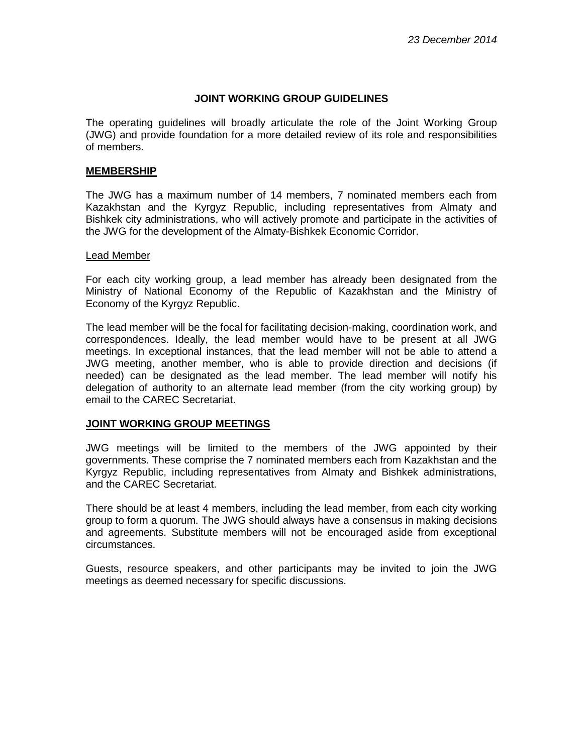### **JOINT WORKING GROUP GUIDELINES**

The operating guidelines will broadly articulate the role of the Joint Working Group (JWG) and provide foundation for a more detailed review of its role and responsibilities of members.

### **MEMBERSHIP**

The JWG has a maximum number of 14 members, 7 nominated members each from Kazakhstan and the Kyrgyz Republic, including representatives from Almaty and Bishkek city administrations, who will actively promote and participate in the activities of the JWG for the development of the Almaty-Bishkek Economic Corridor.

#### Lead Member

For each city working group, a lead member has already been designated from the Ministry of National Economy of the Republic of Kazakhstan and the Ministry of Economy of the Kyrgyz Republic.

The lead member will be the focal for facilitating decision-making, coordination work, and correspondences. Ideally, the lead member would have to be present at all JWG meetings. In exceptional instances, that the lead member will not be able to attend a JWG meeting, another member, who is able to provide direction and decisions (if needed) can be designated as the lead member. The lead member will notify his delegation of authority to an alternate lead member (from the city working group) by email to the CAREC Secretariat.

### **JOINT WORKING GROUP MEETINGS**

JWG meetings will be limited to the members of the JWG appointed by their governments. These comprise the 7 nominated members each from Kazakhstan and the Kyrgyz Republic, including representatives from Almaty and Bishkek administrations, and the CAREC Secretariat.

There should be at least 4 members, including the lead member, from each city working group to form a quorum. The JWG should always have a consensus in making decisions and agreements. Substitute members will not be encouraged aside from exceptional circumstances.

Guests, resource speakers, and other participants may be invited to join the JWG meetings as deemed necessary for specific discussions.